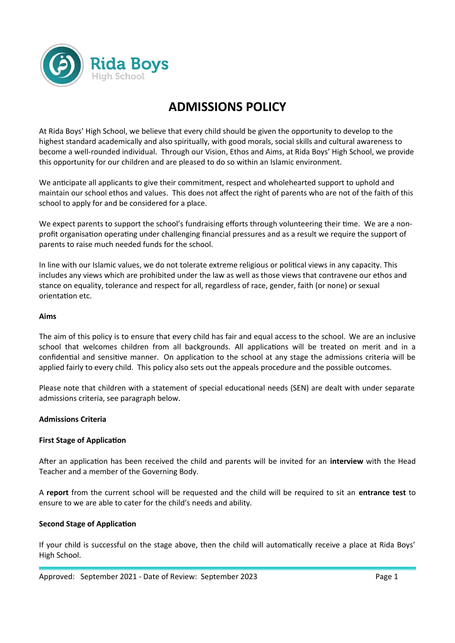

# **ADMISSIONS POLICY**

At Rida Boys' High School, we believe that every child should be given the opportunity to develop to the highest standard academically and also spiritually, with good morals, social skills and cultural awareness to become a well-rounded individual. Through our Vision, Ethos and Aims, at Rida Boys' High School, we provide this opportunity for our children and are pleased to do so within an Islamic environment.

We anticipate all applicants to give their commitment, respect and wholehearted support to uphold and maintain our school ethos and values. This does not affect the right of parents who are not of the faith of this school to apply for and be considered for a place.

We expect parents to support the school's fundraising efforts through volunteering their time. We are a nonprofit organisation operating under challenging financial pressures and as a result we require the support of parents to raise much needed funds for the school.

In line with our Islamic values, we do not tolerate extreme religious or political views in any capacity. This includes any views which are prohibited under the law as well as those views that contravene our ethos and stance on equality, tolerance and respect for all, regardless of race, gender, faith (or none) or sexual orientation etc.

#### **Aims**

The aim of this policy is to ensure that every child has fair and equal access to the school. We are an inclusive school that welcomes children from all backgrounds. All applications will be treated on merit and in a confidential and sensitive manner. On application to the school at any stage the admissions criteria will be applied fairly to every child. This policy also sets out the appeals procedure and the possible outcomes.

Please note that children with a statement of special educational needs (SEN) are dealt with under separate admissions criteria, see paragraph below.

#### **Admissions Criteria**

#### **First Stage of Application**

After an application has been received the child and parents will be invited for an **interview** with the Head Teacher and a member of the Governing Body.

A **report** from the current school will be requested and the child will be required to sit an **entrance test** to ensure to we are able to cater for the child's needs and ability.

#### **Second Stage of Application**

If your child is successful on the stage above, then the child will automatically receive a place at Rida Boys' High School.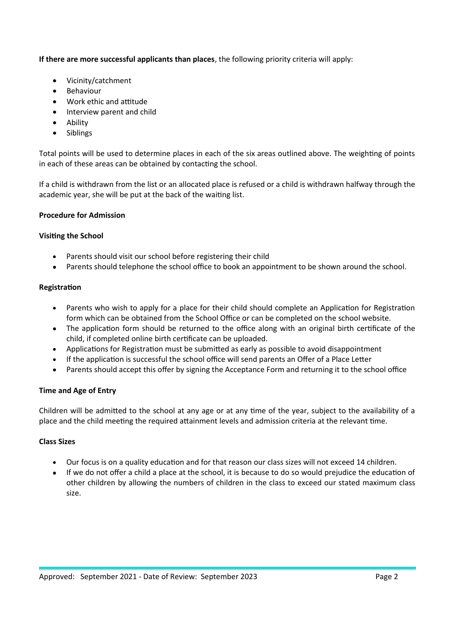# **If there are more successful applicants than places**, the following priority criteria will apply:

- Vicinity/catchment
- Behaviour
- Work ethic and attitude
- Interview parent and child
- Ability
- Siblings

Total points will be used to determine places in each of the six areas outlined above. The weighting of points in each of these areas can be obtained by contacting the school.

If a child is withdrawn from the list or an allocated place is refused or a child is withdrawn halfway through the academic year, she will be put at the back of the waiting list.

#### **Procedure for Admission**

#### **Visiting the School**

- Parents should visit our school before registering their child
- Parents should telephone the school office to book an appointment to be shown around the school.

#### **Registration**

- Parents who wish to apply for a place for their child should complete an Application for Registration form which can be obtained from the School Office or can be completed on the school website.
- The application form should be returned to the office along with an original birth certificate of the child, if completed online birth certificate can be uploaded.
- Applications for Registration must be submitted as early as possible to avoid disappointment
- If the application is successful the school office will send parents an Offer of a Place Letter
- Parents should accept this offer by signing the Acceptance Form and returning it to the school office

#### **Time and Age of Entry**

Children will be admitted to the school at any age or at any time of the year, subject to the availability of a place and the child meeting the required attainment levels and admission criteria at the relevant time.

#### **Class Sizes**

- Our focus is on a quality education and for that reason our class sizes will not exceed 14 children.
- If we do not offer a child a place at the school, it is because to do so would prejudice the education of other children by allowing the numbers of children in the class to exceed our stated maximum class size.